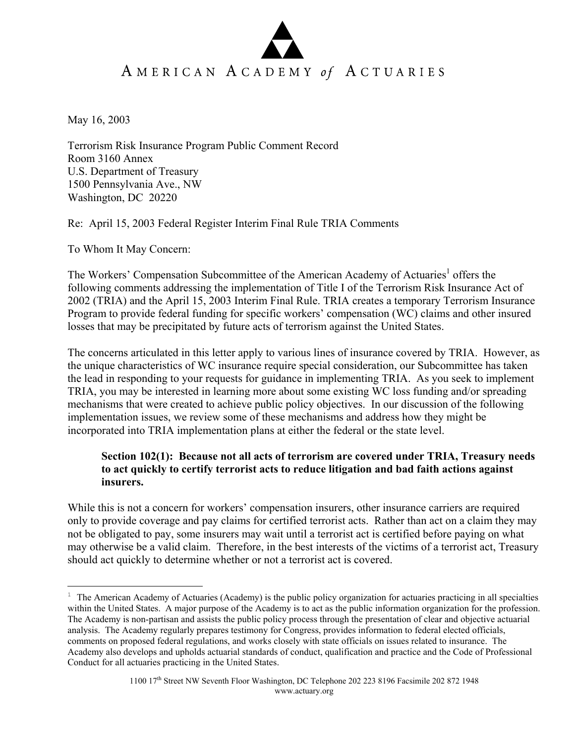# AMERICAN ACADEMY of ACTUARIES

May 16, 2003

<u>.</u>

Terrorism Risk Insurance Program Public Comment Record Room 3160 Annex U.S. Department of Treasury 1500 Pennsylvania Ave., NW Washington, DC 20220

Re: April 15, 2003 Federal Register Interim Final Rule TRIA Comments

To Whom It May Concern:

The Workers' Compensation Subcommittee of the American Academy of Actuaries<sup>1</sup> offers the following comments addressing the implementation of Title I of the Terrorism Risk Insurance Act of 2002 (TRIA) and the April 15, 2003 Interim Final Rule. TRIA creates a temporary Terrorism Insurance Program to provide federal funding for specific workers' compensation (WC) claims and other insured losses that may be precipitated by future acts of terrorism against the United States.

The concerns articulated in this letter apply to various lines of insurance covered by TRIA. However, as the unique characteristics of WC insurance require special consideration, our Subcommittee has taken the lead in responding to your requests for guidance in implementing TRIA. As you seek to implement TRIA, you may be interested in learning more about some existing WC loss funding and/or spreading mechanisms that were created to achieve public policy objectives. In our discussion of the following implementation issues, we review some of these mechanisms and address how they might be incorporated into TRIA implementation plans at either the federal or the state level.

# **Section 102(1): Because not all acts of terrorism are covered under TRIA, Treasury needs to act quickly to certify terrorist acts to reduce litigation and bad faith actions against insurers.**

While this is not a concern for workers' compensation insurers, other insurance carriers are required only to provide coverage and pay claims for certified terrorist acts. Rather than act on a claim they may not be obligated to pay, some insurers may wait until a terrorist act is certified before paying on what may otherwise be a valid claim. Therefore, in the best interests of the victims of a terrorist act, Treasury should act quickly to determine whether or not a terrorist act is covered.

<sup>&</sup>lt;sup>1</sup> The American Academy of Actuaries (Academy) is the public policy organization for actuaries practicing in all specialties within the United States. A major purpose of the Academy is to act as the public information organization for the profession. The Academy is non-partisan and assists the public policy process through the presentation of clear and objective actuarial analysis. The Academy regularly prepares testimony for Congress, provides information to federal elected officials, comments on proposed federal regulations, and works closely with state officials on issues related to insurance. The Academy also develops and upholds actuarial standards of conduct, qualification and practice and the Code of Professional Conduct for all actuaries practicing in the United States.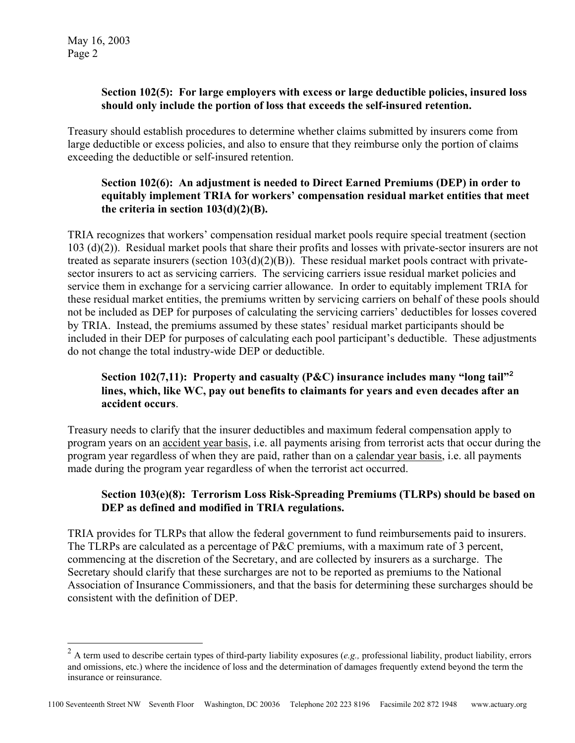$\overline{a}$ 

## **Section 102(5): For large employers with excess or large deductible policies, insured loss should only include the portion of loss that exceeds the self-insured retention.**

Treasury should establish procedures to determine whether claims submitted by insurers come from large deductible or excess policies, and also to ensure that they reimburse only the portion of claims exceeding the deductible or self-insured retention.

# **Section 102(6): An adjustment is needed to Direct Earned Premiums (DEP) in order to equitably implement TRIA for workers' compensation residual market entities that meet the criteria in section 103(d)(2)(B).**

TRIA recognizes that workers' compensation residual market pools require special treatment (section 103 (d)(2)). Residual market pools that share their profits and losses with private-sector insurers are not treated as separate insurers (section  $103(d)(2)(B)$ ). These residual market pools contract with privatesector insurers to act as servicing carriers. The servicing carriers issue residual market policies and service them in exchange for a servicing carrier allowance. In order to equitably implement TRIA for these residual market entities, the premiums written by servicing carriers on behalf of these pools should not be included as DEP for purposes of calculating the servicing carriers' deductibles for losses covered by TRIA. Instead, the premiums assumed by these states' residual market participants should be included in their DEP for purposes of calculating each pool participant's deductible. These adjustments do not change the total industry-wide DEP or deductible.

# **Section 102(7,11): Property and casualty (P&C) insurance includes many "long tail"<sup>2</sup> lines, which, like WC, pay out benefits to claimants for years and even decades after an accident occurs**.

Treasury needs to clarify that the insurer deductibles and maximum federal compensation apply to program years on an accident year basis, i.e. all payments arising from terrorist acts that occur during the program year regardless of when they are paid, rather than on a calendar year basis, i.e. all payments made during the program year regardless of when the terrorist act occurred.

# **Section 103(e)(8): Terrorism Loss Risk-Spreading Premiums (TLRPs) should be based on DEP as defined and modified in TRIA regulations.**

TRIA provides for TLRPs that allow the federal government to fund reimbursements paid to insurers. The TLRPs are calculated as a percentage of P&C premiums, with a maximum rate of 3 percent, commencing at the discretion of the Secretary, and are collected by insurers as a surcharge. The Secretary should clarify that these surcharges are not to be reported as premiums to the National Association of Insurance Commissioners, and that the basis for determining these surcharges should be consistent with the definition of DEP.

<sup>2</sup> A term used to describe certain types of third-party liability exposures (*e.g.,* professional liability, product liability, errors and omissions, etc.) where the incidence of loss and the determination of damages frequently extend beyond the term the insurance or reinsurance.